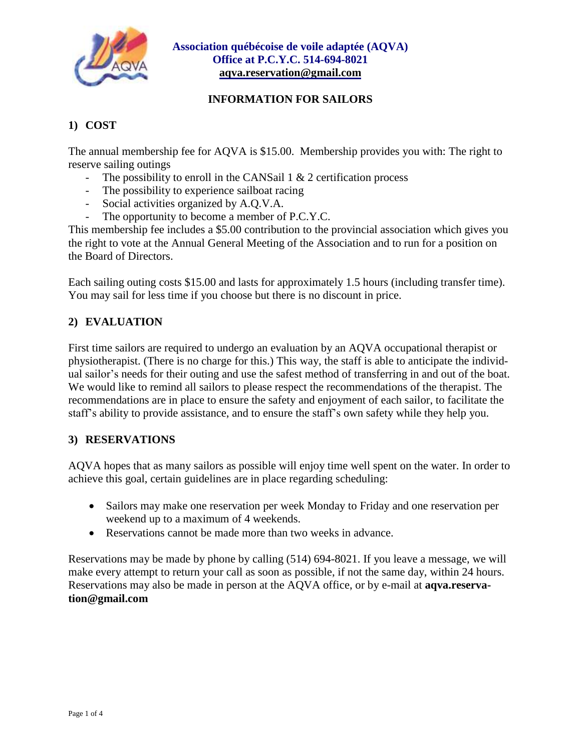

#### **INFORMATION FOR SAILORS**

# **1) COST**

The annual membership fee for AQVA is \$15.00. Membership provides you with: The right to reserve sailing outings

- The possibility to enroll in the CANSail  $1 \& 2$  certification process
- The possibility to experience sailboat racing
- Social activities organized by A.Q.V.A.
- The opportunity to become a member of P.C.Y.C.

This membership fee includes a \$5.00 contribution to the provincial association which gives you the right to vote at the Annual General Meeting of the Association and to run for a position on the Board of Directors.

Each sailing outing costs \$15.00 and lasts for approximately 1.5 hours (including transfer time). You may sail for less time if you choose but there is no discount in price.

### **2) EVALUATION**

First time sailors are required to undergo an evaluation by an AQVA occupational therapist or physiotherapist. (There is no charge for this.) This way, the staff is able to anticipate the individual sailor's needs for their outing and use the safest method of transferring in and out of the boat. We would like to remind all sailors to please respect the recommendations of the therapist. The recommendations are in place to ensure the safety and enjoyment of each sailor, to facilitate the staff's ability to provide assistance, and to ensure the staff's own safety while they help you.

### **3) RESERVATIONS**

AQVA hopes that as many sailors as possible will enjoy time well spent on the water. In order to achieve this goal, certain guidelines are in place regarding scheduling:

- Sailors may make one reservation per week Monday to Friday and one reservation per weekend up to a maximum of 4 weekends.
- Reservations cannot be made more than two weeks in advance.

Reservations may be made by phone by calling (514) 694-8021. If you leave a message, we will make every attempt to return your call as soon as possible, if not the same day, within 24 hours. Reservations may also be made in person at the AQVA office, or by e-mail at **aqva.reservation@gmail.com**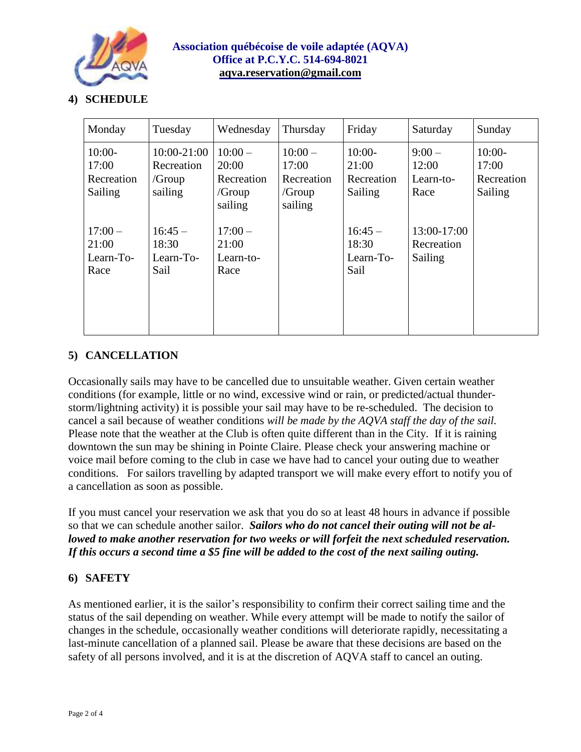

### **4) SCHEDULE**

| Monday                                     | Tuesday                                        | Wednesday                                            | Thursday                                                | Friday                                     | Saturday                               | Sunday                                     |
|--------------------------------------------|------------------------------------------------|------------------------------------------------------|---------------------------------------------------------|--------------------------------------------|----------------------------------------|--------------------------------------------|
| $10:00-$<br>17:00<br>Recreation<br>Sailing | 10:00-21:00<br>Recreation<br>/Group<br>sailing | $10:00-$<br>20:00<br>Recreation<br>/Group<br>sailing | $10:00-$<br>17:00<br>Recreation<br>$/$ Group<br>sailing | $10:00-$<br>21:00<br>Recreation<br>Sailing | $9:00 -$<br>12:00<br>Learn-to-<br>Race | $10:00-$<br>17:00<br>Recreation<br>Sailing |
| $17:00-$<br>21:00<br>Learn-To-<br>Race     | $16:45-$<br>18:30<br>Learn-To-<br>Sail         | $17:00 -$<br>21:00<br>Learn-to-<br>Race              |                                                         | $16:45-$<br>18:30<br>Learn-To-<br>Sail     | 13:00-17:00<br>Recreation<br>Sailing   |                                            |

## **5) CANCELLATION**

Occasionally sails may have to be cancelled due to unsuitable weather. Given certain weather conditions (for example, little or no wind, excessive wind or rain, or predicted/actual thunderstorm/lightning activity) it is possible your sail may have to be re-scheduled. The decision to cancel a sail because of weather conditions *will be made by the AQVA staff the day of the sail.* Please note that the weather at the Club is often quite different than in the City. If it is raining downtown the sun may be shining in Pointe Claire. Please check your answering machine or voice mail before coming to the club in case we have had to cancel your outing due to weather conditions. For sailors travelling by adapted transport we will make every effort to notify you of a cancellation as soon as possible.

If you must cancel your reservation we ask that you do so at least 48 hours in advance if possible so that we can schedule another sailor. *Sailors who do not cancel their outing will not be allowed to make another reservation for two weeks or will forfeit the next scheduled reservation.* If this occurs a second time a \$5 fine will be added to the cost of the next sailing outing.

### **6) SAFETY**

As mentioned earlier, it is the sailor's responsibility to confirm their correct sailing time and the status of the sail depending on weather. While every attempt will be made to notify the sailor of changes in the schedule, occasionally weather conditions will deteriorate rapidly, necessitating a last-minute cancellation of a planned sail. Please be aware that these decisions are based on the safety of all persons involved, and it is at the discretion of AQVA staff to cancel an outing.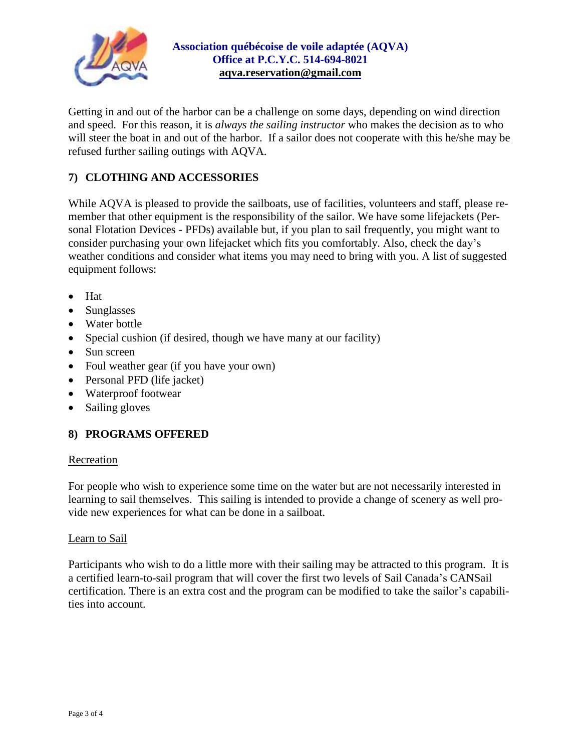

Getting in and out of the harbor can be a challenge on some days, depending on wind direction and speed. For this reason, it is *always the sailing instructor* who makes the decision as to who will steer the boat in and out of the harbor. If a sailor does not cooperate with this he/she may be refused further sailing outings with AQVA.

## **7) CLOTHING AND ACCESSORIES**

While AQVA is pleased to provide the sailboats, use of facilities, volunteers and staff, please remember that other equipment is the responsibility of the sailor. We have some lifejackets (Personal Flotation Devices - PFDs) available but, if you plan to sail frequently, you might want to consider purchasing your own lifejacket which fits you comfortably. Also, check the day's weather conditions and consider what items you may need to bring with you. A list of suggested equipment follows:

- Hat
- Sunglasses
- Water bottle
- Special cushion (if desired, though we have many at our facility)
- Sun screen
- Foul weather gear (if you have your own)
- Personal PFD (life jacket)
- Waterproof footwear
- Sailing gloves

### **8) PROGRAMS OFFERED**

#### Recreation

For people who wish to experience some time on the water but are not necessarily interested in learning to sail themselves. This sailing is intended to provide a change of scenery as well provide new experiences for what can be done in a sailboat.

#### Learn to Sail

Participants who wish to do a little more with their sailing may be attracted to this program. It is a certified learn-to-sail program that will cover the first two levels of Sail Canada's CANSail certification. There is an extra cost and the program can be modified to take the sailor's capabilities into account.